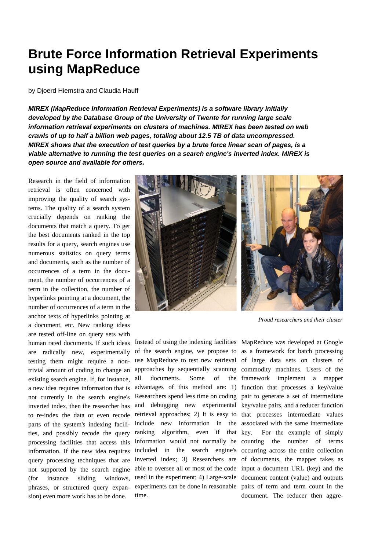## **Brute Force Information Retrieval Experiments using MapReduce**

by Djoerd Hiemstra and Claudia Hauff

*MIREX (MapReduce Information Retrieval Experiments) is a software library initially developed by the Database Group of the University of Twente for running large scale information retrieval experiments on clusters of machines. MIREX has been tested on web crawls of up to half a billion web pages, totaling about 12.5 TB of data uncompressed. MIREX shows that the execution of test queries by a brute force linear scan of pages, is a viable alternative to running the test queries on a search engine's inverted index. MIREX is open source and available for others.* 

Research in the field of information retrieval is often concerned with improving the quality of search systems. The quality of a search system crucially depends on ranking the documents that match a query. To get the best documents ranked in the top results for a query, search engines use numerous statistics on query terms and documents, such as the number of occurrences of a term in the document, the number of occurrences of a term in the collection, the number of hyperlinks pointing at a document, the number of occurrences of a term in the anchor texts of hyperlinks pointing at a document, etc. New ranking ideas are tested off-line on query sets with human rated documents. If such ideas are radically new, experimentally testing them might require a nontrivial amount of coding to change an existing search engine. If, for instance, a new idea requires information that is not currently in the search engine's inverted index, then the researcher has to re-index the data or even recode parts of the system's indexing facilities, and possibly recode the query processing facilities that access this information. If the new idea requires query processing techniques that are not supported by the search engine (for instance sliding windows, phrases, or structured query expansion) even more work has to be done.



*Proud researchers and their cluster*

Instead of using the indexing facilities MapReduce was developed at Google of the search engine, we propose to as a framework for batch processing use MapReduce to test new retrieval of large data sets on clusters of approaches by sequentially scanning commodity machines. Users of the all documents. Some of advantages of this method are: 1) function that processes a key/value Researchers spend less time on coding pair to generate a set of intermediate and debugging new experimental key/value pairs, and a reducer function retrieval approaches; 2) It is easy to that processes intermediate values include new information in the associated with the same intermediate ranking algorithm, even if that key. information would not normally be included in the search engine's occurring across the entire collection inverted index; 3) Researchers are of documents, the mapper takes as able to oversee all or most of the code input a document URL (key) and the used in the experiment; 4) Large-scale document content (value) and outputs experiments can be done in reasonable pairs of term and term count in the time.

framework implement a mapper For the example of simply the number of terms document. The reducer then aggre-